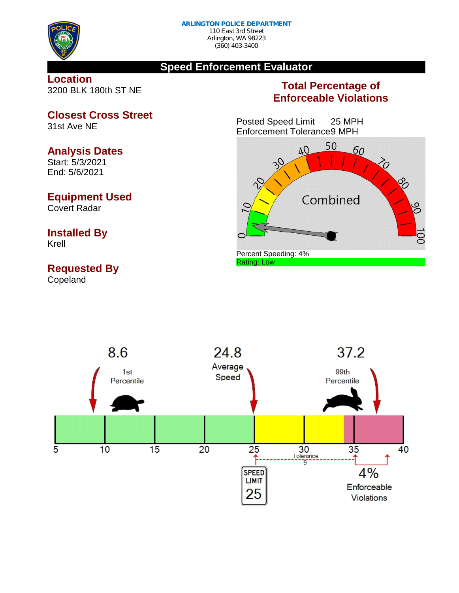

## **Speed Enforcement Evaluator**

## **Location** 3200 BLK 180th ST NE

## **Total Percentage of Enforceable Violations**

Posted Speed Limit 25 MPH Enforcement Tolerance9 MPH





**Closest Cross Street** 31st Ave NE

## **Analysis Dates**

Start: 5/3/2021 End: 5/6/2021

## **Equipment Used**

Covert Radar

# **Installed By**

Krell

## **Requested By**

Copeland